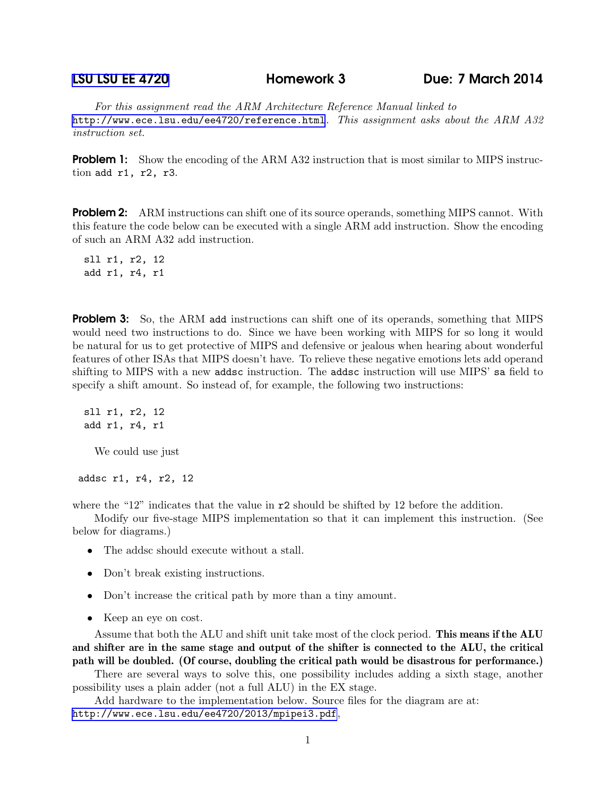## [LSU LSU EE 4720](http://www.ece.lsu.edu/ee4720/) Homework 3 Due: 7 March 2014

For this assignment read the ARM Architecture Reference Manual linked to <http://www.ece.lsu.edu/ee4720/reference.html>. This assignment asks about the ARM A32 instruction set.

**Problem 1:** Show the encoding of the ARM A32 instruction that is most similar to MIPS instruction add r1, r2, r3.

**Problem 2:** ARM instructions can shift one of its source operands, something MIPS cannot. With this feature the code below can be executed with a single ARM add instruction. Show the encoding of such an ARM A32 add instruction.

sll r1, r2, 12 add r1, r4, r1

**Problem 3:** So, the ARM add instructions can shift one of its operands, something that MIPS would need two instructions to do. Since we have been working with MIPS for so long it would be natural for us to get protective of MIPS and defensive or jealous when hearing about wonderful features of other ISAs that MIPS doesn't have. To relieve these negative emotions lets add operand shifting to MIPS with a new addsc instruction. The addsc instruction will use MIPS' sa field to specify a shift amount. So instead of, for example, the following two instructions:

sll r1, r2, 12 add r1, r4, r1

We could use just

addsc r1, r4, r2, 12

where the "12" indicates that the value in  $r^2$  should be shifted by 12 before the addition.

Modify our five-stage MIPS implementation so that it can implement this instruction. (See below for diagrams.)

- The addsc should execute without a stall.
- Don't break existing instructions.
- Don't increase the critical path by more than a tiny amount.
- Keep an eye on cost.

Assume that both the ALU and shift unit take most of the clock period. This means if the ALU and shifter are in the same stage and output of the shifter is connected to the ALU, the critical path will be doubled. (Of course, doubling the critical path would be disastrous for performance.)

There are several ways to solve this, one possibility includes adding a sixth stage, another possibility uses a plain adder (not a full ALU) in the EX stage.

Add hardware to the implementation below. Source files for the diagram are at: <http://www.ece.lsu.edu/ee4720/2013/mpipei3.pdf>,